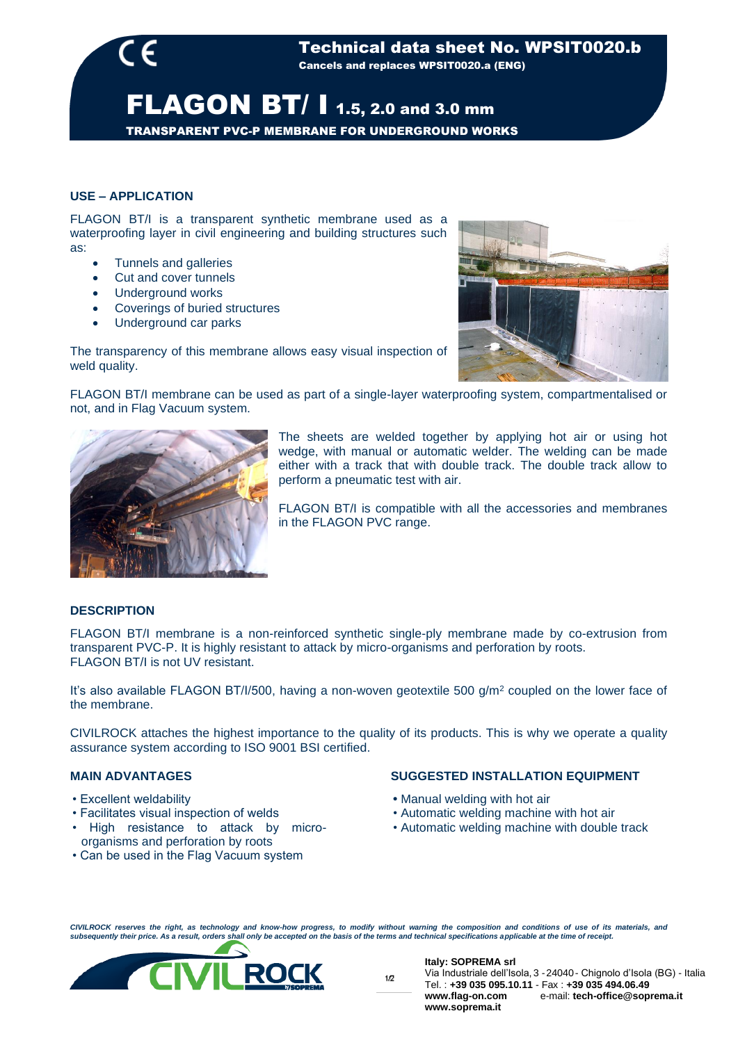TRANSPARENT PVC-P MEMBRANE FOR UNDERGROUND WORKS

## **USE – APPLICATION**

FLAGON BT/I is a transparent synthetic membrane used as a waterproofing layer in civil engineering and building structures such as:

- Tunnels and galleries
- Cut and cover tunnels
- Underground works
- Coverings of buried structures
- Underground car parks

The transparency of this membrane allows easy visual inspection of weld quality.



FLAGON BT/I membrane can be used as part of a single-layer waterproofing system, compartmentalised or not, and in Flag Vacuum system.



The sheets are welded together by applying hot air or using hot wedge, with manual or automatic welder. The welding can be made either with a track that with double track. The double track allow to perform a pneumatic test with air.

FLAGON BT/I is compatible with all the accessories and membranes in the FLAGON PVC range.

## **DESCRIPTION**

FLAGON BT/I membrane is a non-reinforced synthetic single-ply membrane made by co-extrusion from transparent PVC-P. It is highly resistant to attack by micro-organisms and perforation by roots. FLAGON BT/Lis not UV resistant.

It's also available FLAGON BT/I/500, having a non-woven geotextile 500 g/m<sup>2</sup> coupled on the lower face of the membrane.

CIVILROCK attaches the highest importance to the quality of its products. This is why we operate a quality assurance system according to ISO 9001 BSI certified.

### **MAIN ADVANTAGES**

- Excellent weldability
- Facilitates visual inspection of welds
- High resistance to attack by microorganisms and perforation by roots
- Can be used in the Flag Vacuum system

#### **SUGGESTED INSTALLATION EQUIPMENT**

- Manual welding with hot air
- Automatic welding machine with hot air
- Automatic welding machine with double track

CIVILROCK reserves the right, as technology and know-how progress, to modify without warning the composition and conditions of use of its materials, and<br>subsequently their price. As a result, orders shall only be accepted



**Italy: SOPREMA srl**

Via Industriale dell'Isola, 3 -24040- Chignolo d'Isola (BG) - Italia Tel. : **+39 035 095.10.11** - Fax : **+39 035 494.06.49 www.flag-on.com** e-mail: **tech-office@soprema.it www.soprema.it**